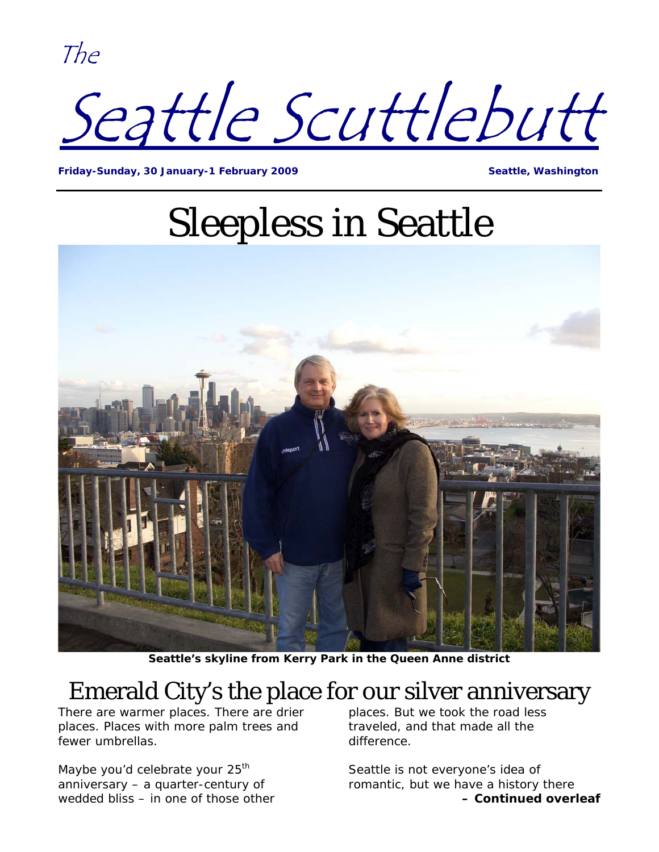The



**Friday-Sunday, 30 January-1 February 2009 Seattle, Washington** 

## Sleepless in Seattle



**Seattle's skyline from Kerry Park in the Queen Anne district** 

### Emerald City's the place for our silver anniversary

There are warmer places. There are drier places. Places with more palm trees and fewer umbrellas.

Maybe you'd celebrate your  $25<sup>th</sup>$ anniversary – a quarter-century of wedded bliss – in one of those other places. But we took the road less traveled, and that made all the difference.

Seattle is not everyone's idea of romantic, but we have a history there **– Continued overleaf**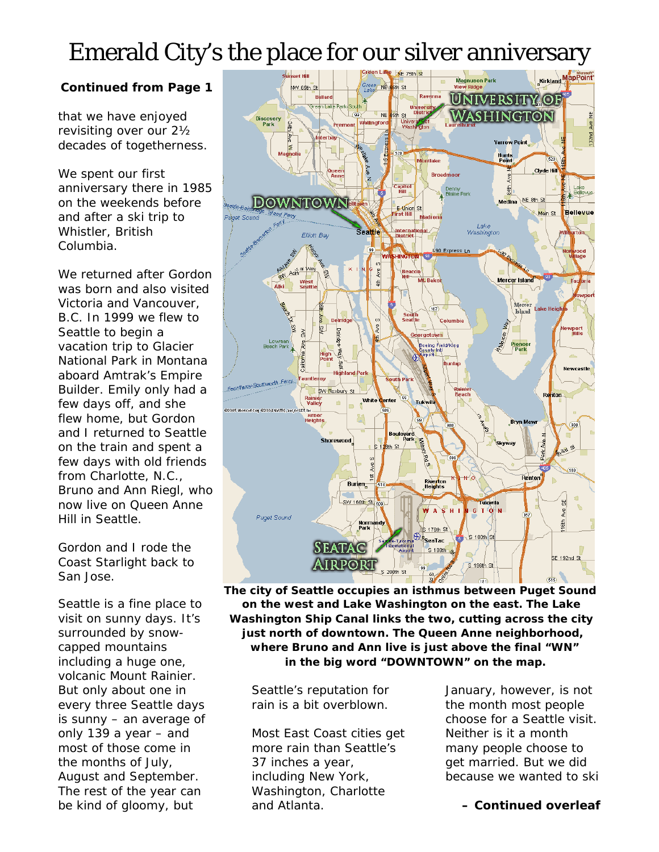## Emerald City's the place for our silver anniversary

#### **Continued from Page 1**

that we have enjoyed revisiting over our 2½ decades of togetherness.

We spent our first anniversary there in 1985 on the weekends before and after a ski trip to Whistler, British Columbia.

We returned after Gordon was born and also visited Victoria and Vancouver, B.C. In 1999 we flew to Seattle to begin a vacation trip to Glacier National Park in Montana aboard Amtrak's *Empire Builder.* Emily only had a few days off, and she flew home, but Gordon and I returned to Seattle on the train and spent a few days with old friends from Charlotte, N.C., Bruno and Ann Riegl, who now live on Queen Anne Hill in Seattle.

Gordon and I rode the *Coast Starlight* back to San Jose.

volcanic Mount Rainier. But only about one in every three Seattle days is sunny – an average of only 139 a year – and most of those come in the months of July, August and September. The rest of the year can be kind of gloomy, but



 **The city of Seattle occupies an isthmus between Puget Sound** Seattle is a fine place to **on the west and Lake Washington on the east. The Lake** visit on sunny days. It's **Washington Ship Canal links the two, cutting across the city** surrounded by snow- **just north of downtown. The Queen Anne neighborhood,** capped mountains **where Bruno and Ann live is just above the final "WN"** including a huge one, **in the big word "DOWNTOWN" on the map.**

> Seattle's reputation for rain is a bit overblown.

Most East Coast cities get more rain than Seattle's 37 inches a year, including New York, Washington, Charlotte and Atlanta.

January, however, is not the month most people choose for a Seattle visit. Neither is it a month many people choose to get married. But we did because we wanted to ski

#### **– Continued overleaf**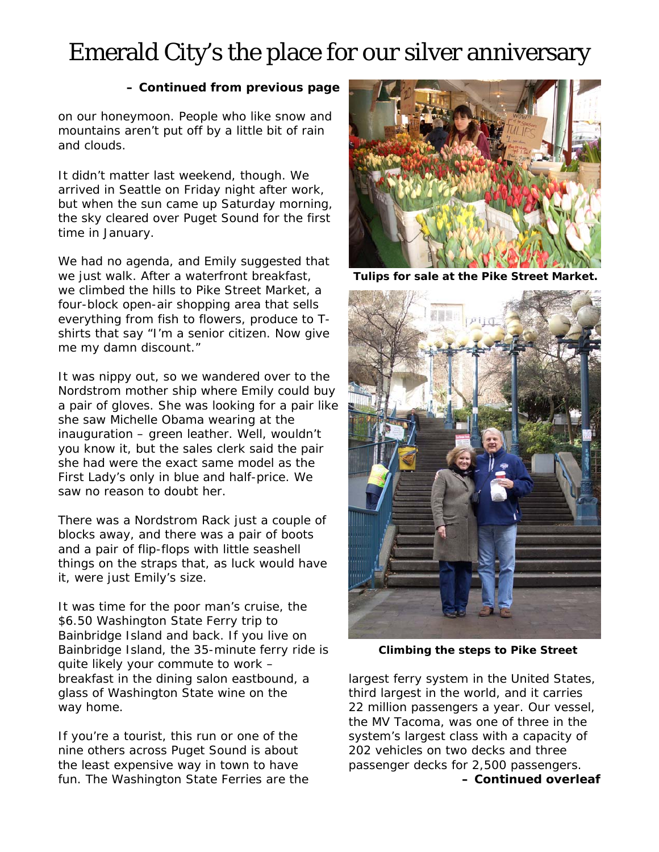## Emerald City's the place for our silver anniversary

#### **– Continued from previous page**

on our honeymoon. People who like snow and mountains aren't put off by a little bit of rain and clouds.

It didn't matter last weekend, though. We arrived in Seattle on Friday night after work, but when the sun came up Saturday morning, the sky cleared over Puget Sound for the first time in January.

We had no agenda, and Emily suggested that we just walk. After a waterfront breakfast, **Tulips for sale at the Pike Street Market.** we climbed the hills to Pike Street Market, a four-block open-air shopping area that sells everything from fish to flowers, produce to Tshirts that say "I'm a senior citizen. Now give me my damn discount."

It was nippy out, so we wandered over to the Nordstrom mother ship where Emily could buy a pair of gloves. She was looking for a pair like she saw Michelle Obama wearing at the inauguration – green leather. Well, wouldn't you know it, but the sales clerk said the pair she had were the exact same model as the First Lady's only in blue and half-price. We saw no reason to doubt her.

There was a Nordstrom Rack just a couple of blocks away, and there was a pair of boots and a pair of flip-flops with little seashell things on the straps that, as luck would have it, were just Emily's size.

It was time for the poor man's cruise, the \$6.50 Washington State Ferry trip to Bainbridge Island and back. If you live on Bainbridge Island, the 35-minute ferry ride is **Climbing the steps to Pike Street**  quite likely your commute to work – breakfast in the dining salon eastbound, a glass of Washington State wine on the way home.

If you're a tourist, this run or one of the nine others across Puget Sound is about the least expensive way in town to have fun. The Washington State Ferries are the





largest ferry system in the United States, third largest in the world, and it carries 22 million passengers a year. Our vessel, the *MV Tacoma*, was one of three in the system's largest class with a capacity of 202 vehicles on two decks and three passenger decks for 2,500 passengers. **– Continued overleaf**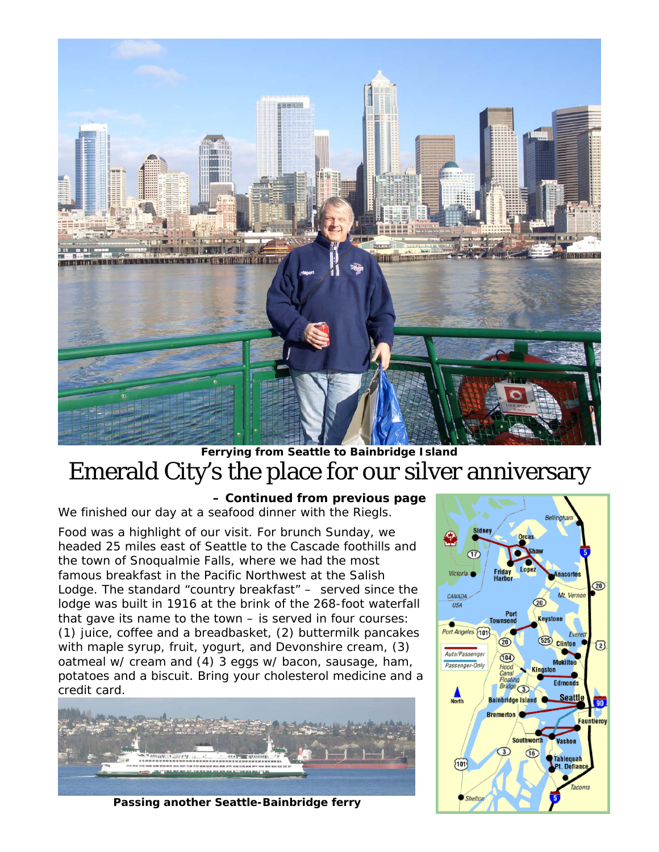

### **Ferrying from Seattle to Bainbridge Island**  Emerald City's the place for our silver anniversary

#### **– Continued from previous page**

We finished our day at a seafood dinner with the Riegls.

Food was a highlight of our visit. For brunch Sunday, we headed 25 miles east of Seattle to the Cascade foothills and the town of Snoqualmie Falls, where we had the most famous breakfast in the Pacific Northwest at the Salish Lodge. The standard "country breakfast" – served since the lodge was built in 1916 at the brink of the 268-foot waterfall that gave its name to the town – is served in four courses: (1) juice, coffee and a breadbasket, (2) buttermilk pancakes with maple syrup, fruit, yogurt, and Devonshire cream, (3) oatmeal w/ cream and (4) 3 eggs w/ bacon, sausage, ham, potatoes and a biscuit. Bring your cholesterol medicine and a credit card.



 **Passing another Seattle-Bainbridge ferry**

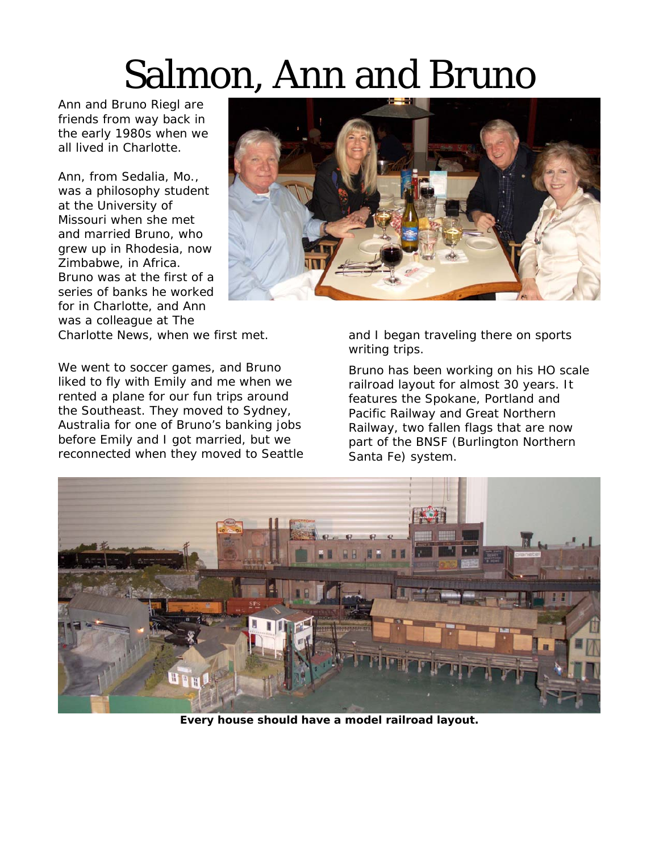# Salmon, Ann and Bruno

Ann and Bruno Riegl are friends from way back in the early 1980s when we all lived in Charlotte.

Ann, from Sedalia, Mo., was a philosophy student at the University of Missouri when she met and married Bruno, who grew up in Rhodesia, now Zimbabwe, in Africa. Bruno was at the first of a series of banks he worked for in Charlotte, and Ann was a colleague at The



Charlotte News, when we first met.

We went to soccer games, and Bruno liked to fly with Emily and me when we rented a plane for our fun trips around the Southeast. They moved to Sydney, Australia for one of Bruno's banking jobs before Emily and I got married, but we reconnected when they moved to Seattle and I began traveling there on sports writing trips.

Bruno has been working on his HO scale railroad layout for almost 30 years. It features the Spokane, Portland and Pacific Railway and Great Northern Railway, two fallen flags that are now part of the BNSF (Burlington Northern Santa Fe) system.



**Every house should have a model railroad layout.**